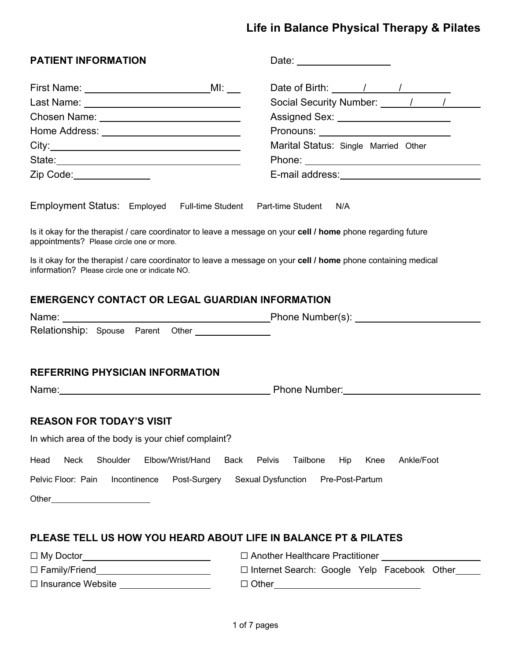# **Life in Balance Physical Therapy & Pilates**

| <b>PATIENT INFORMATION</b>                                                                                                                                                                                                     |                                                                                                                                                                                                                               |
|--------------------------------------------------------------------------------------------------------------------------------------------------------------------------------------------------------------------------------|-------------------------------------------------------------------------------------------------------------------------------------------------------------------------------------------------------------------------------|
|                                                                                                                                                                                                                                | Date of Birth: $\frac{1}{\sqrt{1-\frac{1}{2}}}\left\lfloor \frac{1}{2\sqrt{1-\frac{1}{2}}}\right\rfloor$                                                                                                                      |
|                                                                                                                                                                                                                                | Social Security Number: 11 11 12                                                                                                                                                                                              |
|                                                                                                                                                                                                                                | Assigned Sex: _________________________                                                                                                                                                                                       |
|                                                                                                                                                                                                                                | Pronouns: <u>______________</u> _______________                                                                                                                                                                               |
|                                                                                                                                                                                                                                | Marital Status: Single Married Other                                                                                                                                                                                          |
|                                                                                                                                                                                                                                |                                                                                                                                                                                                                               |
| Zip Code: 2000                                                                                                                                                                                                                 | E-mail address: Note and the mail and the set of the set of the set of the set of the set of the set of the set of the set of the set of the set of the set of the set of the set of the set of the set of the set of the set |
| Employment Status: Employed Full-time Student Part-time Student N/A                                                                                                                                                            |                                                                                                                                                                                                                               |
| Is it okay for the therapist / care coordinator to leave a message on your cell / home phone regarding future<br>appointments? Please circle one or more.                                                                      |                                                                                                                                                                                                                               |
| Is it okay for the therapist / care coordinator to leave a message on your cell / home phone containing medical<br>information? Please circle one or indicate NO.                                                              |                                                                                                                                                                                                                               |
| <b>EMERGENCY CONTACT OR LEGAL GUARDIAN INFORMATION</b>                                                                                                                                                                         |                                                                                                                                                                                                                               |
| Name: Name: Name: Name: Name: Number(s): Name: Number(s): Name: Number(s): Name: Number(s): Name: Number(s): Name: Number(s): Name: Number(s): Name: Number(s): Name: Number(s): Name: Number(s): Name: Number(s): Name: Numbe |                                                                                                                                                                                                                               |
| Relationship: Spouse Parent Other _______________                                                                                                                                                                              |                                                                                                                                                                                                                               |
| <b>REFERRING PHYSICIAN INFORMATION</b>                                                                                                                                                                                         |                                                                                                                                                                                                                               |
|                                                                                                                                                                                                                                | Name: Name: Name: Name: Name: Name: Name: Name: Name: Name: Name: Name: Name: Name: Name: Name: Name: Name: Name: Name: Name: Name: Name: Name: Name: Name: Name: Name: Name: Name: Name: Name: Name: Name: Name: Name: Name: |
| <b>REASON FOR TODAY'S VISIT</b>                                                                                                                                                                                                |                                                                                                                                                                                                                               |
| In which area of the body is your chief complaint?                                                                                                                                                                             |                                                                                                                                                                                                                               |
| Shoulder<br>Elbow/Wrist/Hand<br><b>Neck</b><br><b>Back</b><br>Head                                                                                                                                                             | Pelvis<br>Tailbone<br>Hip<br>Ankle/Foot<br>Knee                                                                                                                                                                               |
| Pelvic Floor: Pain<br>Incontinence<br>Post-Surgery                                                                                                                                                                             | Sexual Dysfunction<br>Pre-Post-Partum                                                                                                                                                                                         |
|                                                                                                                                                                                                                                |                                                                                                                                                                                                                               |
|                                                                                                                                                                                                                                |                                                                                                                                                                                                                               |
| PLEASE TELL US HOW YOU HEARD ABOUT LIFE IN BALANCE PT & PILATES                                                                                                                                                                |                                                                                                                                                                                                                               |
|                                                                                                                                                                                                                                |                                                                                                                                                                                                                               |

| $\Box$ My Doctor         | $\Box$ Another Healthcare Practitioner        |
|--------------------------|-----------------------------------------------|
| $\Box$ Family/Friend     | □ Internet Search: Google Yelp Facebook Other |
| $\Box$ Insurance Website | $\Box$ Other                                  |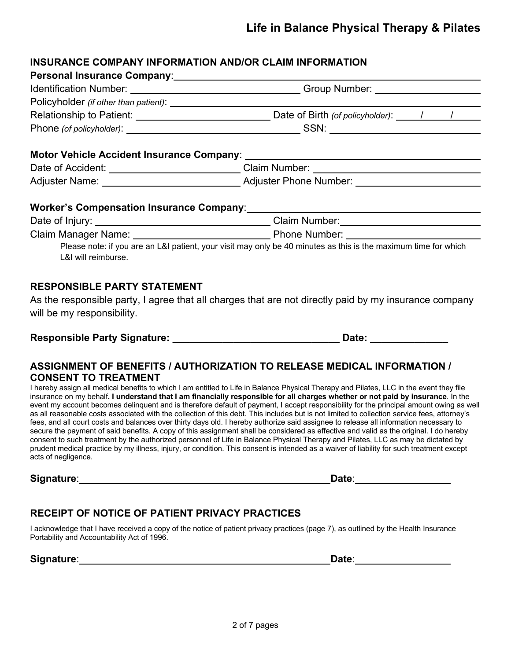# **INSURANCE COMPANY INFORMATION AND/OR CLAIM INFORMATION**

|                                    | Date of Accident: ____________________________Claim Number: _____________________                                                                                                                                             |
|------------------------------------|-------------------------------------------------------------------------------------------------------------------------------------------------------------------------------------------------------------------------------|
|                                    |                                                                                                                                                                                                                               |
|                                    |                                                                                                                                                                                                                               |
|                                    |                                                                                                                                                                                                                               |
|                                    | Claim Manager Name: Name: Name All Phone Number: Name All Phone Number: Name All Phone Number: Name All Phone Number: Name All Phone Number: Name All Phone Number: Name All Phone Number: Name All Phone All Phone All Phone |
| L&I will reimburse.                | Please note: if you are an L&I patient, your visit may only be 40 minutes as this is the maximum time for which                                                                                                               |
| <b>RESPONSIBLE PARTY STATEMENT</b> |                                                                                                                                                                                                                               |
|                                    |                                                                                                                                                                                                                               |

As the responsible party, I agree that all charges that are not directly paid by my insurance company will be my responsibility.

#### **Responsible Party Signature: \_\_\_\_\_\_\_\_\_\_\_\_\_\_\_\_\_\_\_\_\_\_\_\_\_\_\_\_\_\_ Date: \_\_\_\_\_\_\_\_\_\_\_\_\_\_**

# **ASSIGNMENT OF BENEFITS / AUTHORIZATION TO RELEASE MEDICAL INFORMATION / CONSENT TO TREATMENT**

I hereby assign all medical benefits to which I am entitled to Life in Balance Physical Therapy and Pilates, LLC in the event they file insurance on my behalf**. I understand that I am financially responsible for all charges whether or not paid by insurance**. In the event my account becomes delinquent and is therefore default of payment, I accept responsibility for the principal amount owing as well as all reasonable costs associated with the collection of this debt. This includes but is not limited to collection service fees, attorney's fees, and all court costs and balances over thirty days old. I hereby authorize said assignee to release all information necessary to secure the payment of said benefits. A copy of this assignment shall be considered as effective and valid as the original. I do hereby consent to such treatment by the authorized personnel of Life in Balance Physical Therapy and Pilates, LLC as may be dictated by prudent medical practice by my illness, injury, or condition. This consent is intended as a waiver of liability for such treatment except acts of negligence.

**Signature**: **Date**:

# **RECEIPT OF NOTICE OF PATIENT PRIVACY PRACTICES**

I acknowledge that I have received a copy of the notice of patient privacy practices (page 7), as outlined by the Health Insurance Portability and Accountability Act of 1996.

**Signature**: **Date**: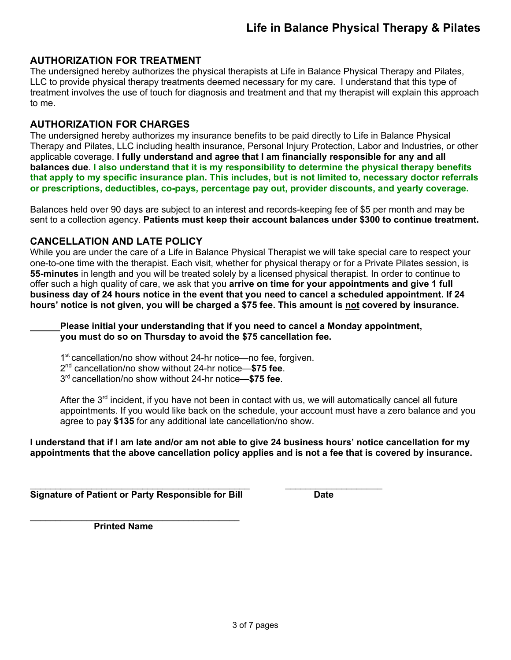## **AUTHORIZATION FOR TREATMENT**

The undersigned hereby authorizes the physical therapists at Life in Balance Physical Therapy and Pilates, LLC to provide physical therapy treatments deemed necessary for my care. I understand that this type of treatment involves the use of touch for diagnosis and treatment and that my therapist will explain this approach to me.

## **AUTHORIZATION FOR CHARGES**

The undersigned hereby authorizes my insurance benefits to be paid directly to Life in Balance Physical Therapy and Pilates, LLC including health insurance, Personal Injury Protection, Labor and Industries, or other applicable coverage. **I fully understand and agree that I am financially responsible for any and all balances due**. **I also understand that it is my responsibility to determine the physical therapy benefits that apply to my specific insurance plan. This includes, but is not limited to, necessary doctor referrals or prescriptions, deductibles, co-pays, percentage pay out, provider discounts, and yearly coverage.**

Balances held over 90 days are subject to an interest and records-keeping fee of \$5 per month and may be sent to a collection agency. **Patients must keep their account balances under \$300 to continue treatment.** 

## **CANCELLATION AND LATE POLICY**

While you are under the care of a Life in Balance Physical Therapist we will take special care to respect your one-to-one time with the therapist. Each visit, whether for physical therapy or for a Private Pilates session, is **55-minutes** in length and you will be treated solely by a licensed physical therapist. In order to continue to offer such a high quality of care, we ask that you **arrive on time for your appointments and give 1 full business day of 24 hours notice in the event that you need to cancel a scheduled appointment. If 24 hours' notice is not given, you will be charged a \$75 fee. This amount is not covered by insurance.**

**Please initial your understanding that if you need to cancel a Monday appointment, you must do so on Thursday to avoid the \$75 cancellation fee.**

1<sup>st</sup> cancellation/no show without 24-hr notice—no fee, forgiven.

\_\_\_\_\_\_\_\_\_\_\_\_\_\_\_\_\_\_\_\_\_\_\_\_\_\_\_\_\_\_\_\_\_\_\_\_\_\_\_\_\_\_\_ \_\_\_\_\_\_\_\_\_\_\_\_\_\_\_\_\_\_\_

2nd cancellation/no show without 24-hr notice—**\$75 fee**.

3rd cancellation/no show without 24-hr notice—**\$75 fee**.

After the  $3<sup>rd</sup>$  incident, if you have not been in contact with us, we will automatically cancel all future appointments. If you would like back on the schedule, your account must have a zero balance and you agree to pay **\$135** for any additional late cancellation/no show.

**I understand that if I am late and/or am not able to give 24 business hours' notice cancellation for my appointments that the above cancellation policy applies and is not a fee that is covered by insurance.**

**Signature of Patient or Party Responsible for Bill Cate Date** 

\_\_\_\_\_\_\_\_\_\_\_\_\_\_\_\_\_\_\_\_\_\_\_\_\_\_\_\_\_\_\_\_\_\_\_\_\_\_\_\_\_  **Printed Name**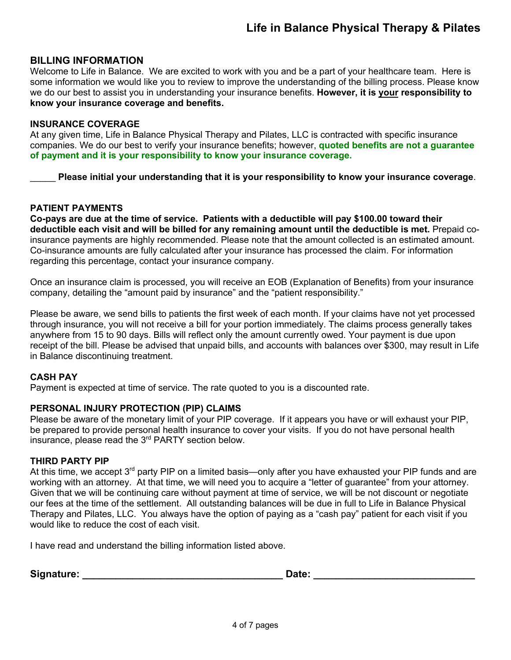## **BILLING INFORMATION**

Welcome to Life in Balance. We are excited to work with you and be a part of your healthcare team. Here is some information we would like you to review to improve the understanding of the billing process. Please know we do our best to assist you in understanding your insurance benefits. **However, it is your responsibility to know your insurance coverage and benefits.** 

#### **INSURANCE COVERAGE**

At any given time, Life in Balance Physical Therapy and Pilates, LLC is contracted with specific insurance companies. We do our best to verify your insurance benefits; however, **quoted benefits are not a guarantee of payment and it is your responsibility to know your insurance coverage.**

\_\_\_\_\_ **Please initial your understanding that it is your responsibility to know your insurance coverage**.

#### **PATIENT PAYMENTS**

**Co-pays are due at the time of service. Patients with a deductible will pay \$100.00 toward their deductible each visit and will be billed for any remaining amount until the deductible is met.** Prepaid coinsurance payments are highly recommended. Please note that the amount collected is an estimated amount. Co-insurance amounts are fully calculated after your insurance has processed the claim. For information regarding this percentage, contact your insurance company.

Once an insurance claim is processed, you will receive an EOB (Explanation of Benefits) from your insurance company, detailing the "amount paid by insurance" and the "patient responsibility."

Please be aware, we send bills to patients the first week of each month. If your claims have not yet processed through insurance, you will not receive a bill for your portion immediately. The claims process generally takes anywhere from 15 to 90 days. Bills will reflect only the amount currently owed. Your payment is due upon receipt of the bill. Please be advised that unpaid bills, and accounts with balances over \$300, may result in Life in Balance discontinuing treatment.

#### **CASH PAY**

Payment is expected at time of service. The rate quoted to you is a discounted rate.

#### **PERSONAL INJURY PROTECTION (PIP) CLAIMS**

Please be aware of the monetary limit of your PIP coverage. If it appears you have or will exhaust your PIP, be prepared to provide personal health insurance to cover your visits. If you do not have personal health insurance, please read the 3rd PARTY section below.

#### **THIRD PARTY PIP**

At this time, we accept  $3<sup>rd</sup>$  party PIP on a limited basis—only after you have exhausted your PIP funds and are working with an attorney. At that time, we will need you to acquire a "letter of guarantee" from your attorney. Given that we will be continuing care without payment at time of service, we will be not discount or negotiate our fees at the time of the settlement. All outstanding balances will be due in full to Life in Balance Physical Therapy and Pilates, LLC. You always have the option of paying as a "cash pay" patient for each visit if you would like to reduce the cost of each visit.

I have read and understand the billing information listed above.

| Signature: | Date: |  |
|------------|-------|--|
|            |       |  |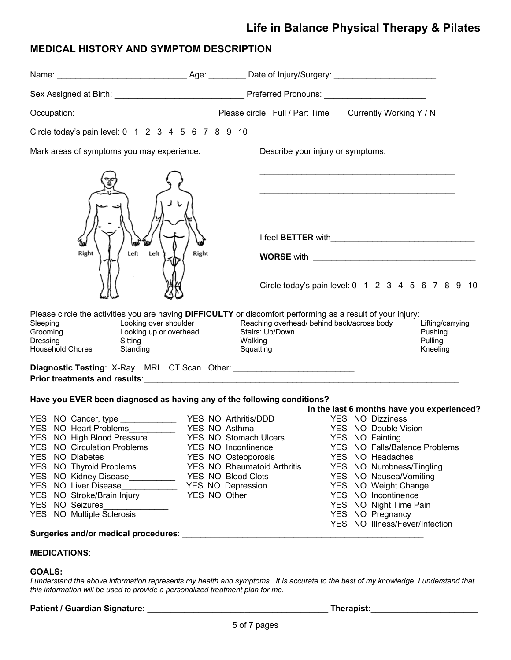# **Life in Balance Physical Therapy & Pilates**

# **MEDICAL HISTORY AND SYMPTOM DESCRIPTION**

| Circle today's pain level: 0 1 2 3 4 5 6 7 8 9 10                                                                                                                                      |                                    |                                                                                                                                                                                                                                     |  |                                            |                                                    |  |  |
|----------------------------------------------------------------------------------------------------------------------------------------------------------------------------------------|------------------------------------|-------------------------------------------------------------------------------------------------------------------------------------------------------------------------------------------------------------------------------------|--|--------------------------------------------|----------------------------------------------------|--|--|
| Mark areas of symptoms you may experience.                                                                                                                                             |                                    | Describe your injury or symptoms:                                                                                                                                                                                                   |  |                                            |                                                    |  |  |
|                                                                                                                                                                                        |                                    | I feel BETTER with <b>with</b> the state of the state of the state of the state of the state of the state of the state of the state of the state of the state of the state of the state of the state of the state of the state of t |  |                                            |                                                    |  |  |
| Right<br>Left<br>Left<br>Right                                                                                                                                                         |                                    |                                                                                                                                                                                                                                     |  |                                            |                                                    |  |  |
|                                                                                                                                                                                        |                                    | Circle today's pain level: 0 1 2 3 4 5 6 7 8 9 10                                                                                                                                                                                   |  |                                            |                                                    |  |  |
| Please circle the activities you are having DIFFICULTY or discomfort performing as a result of your injury:<br>Sleeping<br>Grooming<br>Dressing<br><b>Household Chores</b><br>Standing | Squatting                          |                                                                                                                                                                                                                                     |  |                                            | Lifting/carrying<br>Pushing<br>Pulling<br>Kneeling |  |  |
| Diagnostic Testing: X-Ray MRI CT Scan Other: ___________________________________                                                                                                       |                                    |                                                                                                                                                                                                                                     |  |                                            |                                                    |  |  |
| Have you EVER been diagnosed as having any of the following conditions?                                                                                                                |                                    |                                                                                                                                                                                                                                     |  | In the last 6 months have you experienced? |                                                    |  |  |
|                                                                                                                                                                                        |                                    |                                                                                                                                                                                                                                     |  | YES NO Dizziness                           |                                                    |  |  |
| YES NO Heart Problems                                                                                                                                                                  | YES NO Asthma                      |                                                                                                                                                                                                                                     |  | YES NO Double Vision                       |                                                    |  |  |
| YES NO High Blood Pressure                                                                                                                                                             | YES NO Stomach Ulcers              |                                                                                                                                                                                                                                     |  | YES NO Fainting                            |                                                    |  |  |
| <b>YES NO Circulation Problems</b>                                                                                                                                                     | YES NO Incontinence                |                                                                                                                                                                                                                                     |  | YES NO Falls/Balance Problems              |                                                    |  |  |
| YES NO Diabetes                                                                                                                                                                        | YES NO Osteoporosis                |                                                                                                                                                                                                                                     |  | YES NO Headaches                           |                                                    |  |  |
| YES NO Thyroid Problems                                                                                                                                                                | <b>YES NO Rheumatoid Arthritis</b> |                                                                                                                                                                                                                                     |  | YES NO Numbness/Tingling                   |                                                    |  |  |
|                                                                                                                                                                                        |                                    |                                                                                                                                                                                                                                     |  | YES NO Nausea/Vomiting                     |                                                    |  |  |
|                                                                                                                                                                                        |                                    |                                                                                                                                                                                                                                     |  | YES NO Weight Change                       |                                                    |  |  |
| YES NO Stroke/Brain Injury YES NO Other                                                                                                                                                |                                    |                                                                                                                                                                                                                                     |  | YES NO Incontinence                        |                                                    |  |  |
| YES NO Seizures                                                                                                                                                                        |                                    |                                                                                                                                                                                                                                     |  | YES NO Night Time Pain                     |                                                    |  |  |
| YES NO Multiple Sclerosis                                                                                                                                                              |                                    |                                                                                                                                                                                                                                     |  | YES NO Pregnancy                           |                                                    |  |  |
|                                                                                                                                                                                        |                                    |                                                                                                                                                                                                                                     |  | YES NO Illness/Fever/Infection             |                                                    |  |  |
|                                                                                                                                                                                        |                                    |                                                                                                                                                                                                                                     |  |                                            |                                                    |  |  |
|                                                                                                                                                                                        |                                    |                                                                                                                                                                                                                                     |  |                                            |                                                    |  |  |
| <b>GOALS:</b><br>GOALS:<br>Lunderstand the above information represents my health and symptoms. It is accurate to the best of my knowledge, Lunderstand that                           |                                    |                                                                                                                                                                                                                                     |  |                                            |                                                    |  |  |
|                                                                                                                                                                                        |                                    |                                                                                                                                                                                                                                     |  |                                            |                                                    |  |  |

*I understand the above information represents my health and symptoms. It is accurate to the best of my knowledge. I understand that this information will be used to provide a personalized treatment plan for me.*

**Patient / Guardian Signature: \_\_\_\_\_\_\_\_\_\_\_\_\_\_\_\_\_\_\_\_\_\_\_\_\_\_\_\_\_\_\_\_\_\_\_\_\_\_\_ Therapist:\_\_\_\_\_\_\_\_\_\_\_\_\_\_\_\_\_\_\_\_\_\_\_**

|  |  | Therapist |
|--|--|-----------|
|  |  |           |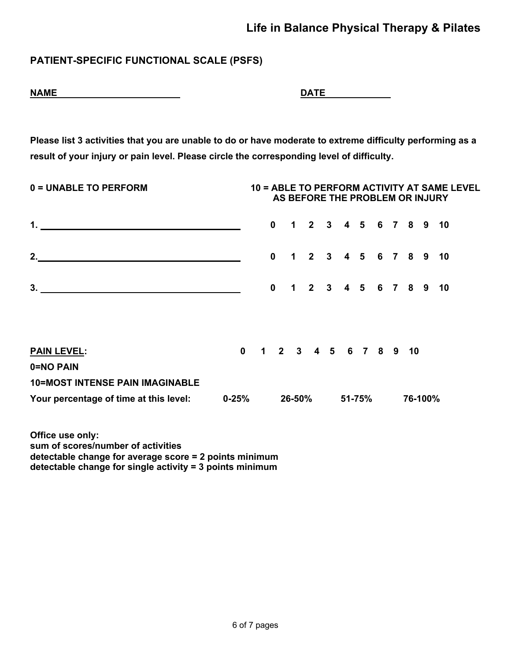# **PATIENT-SPECIFIC FUNCTIONAL SCALE (PSFS)**

| <b>NAME</b> | <b>DATF</b> |
|-------------|-------------|
|             |             |

| ΑI<br>- - |  |  |
|-----------|--|--|
|           |  |  |

**Please list 3 activities that you are unable to do or have moderate to extreme difficulty performing as a result of your injury or pain level. Please circle the corresponding level of difficulty.**

| 0 = UNABLE TO PERFORM<br><b>10 = ABLE TO PERFORM ACTIVITY AT SAME LEVEL</b><br>AS BEFORE THE PROBLEM OR INJURY |  |  |              |  |                        |  |  |  |         |  |  |
|----------------------------------------------------------------------------------------------------------------|--|--|--------------|--|------------------------|--|--|--|---------|--|--|
|                                                                                                                |  |  | $\mathbf{0}$ |  | 1 2 3 4 5 6 7 8 9 10   |  |  |  |         |  |  |
| 2. $\qquad \qquad$                                                                                             |  |  | $\bf{0}$     |  | 1 2 3 4 5 6 7 8 9 10   |  |  |  |         |  |  |
|                                                                                                                |  |  | $\bf{0}$     |  | 1 2 3 4 5 6 7 8 9 10   |  |  |  |         |  |  |
|                                                                                                                |  |  |              |  |                        |  |  |  |         |  |  |
| <b>PAIN LEVEL:</b>                                                                                             |  |  |              |  | 0 1 2 3 4 5 6 7 8 9 10 |  |  |  |         |  |  |
| 0=NO PAIN                                                                                                      |  |  |              |  |                        |  |  |  |         |  |  |
| <b>10=MOST INTENSE PAIN IMAGINABLE</b>                                                                         |  |  |              |  |                        |  |  |  |         |  |  |
| Your percentage of time at this level: 0-25%                                                                   |  |  |              |  | 26-50% 51-75%          |  |  |  | 76-100% |  |  |

**Office use only: sum of scores/number of activities detectable change for average score = 2 points minimum detectable change for single activity = 3 points minimum**